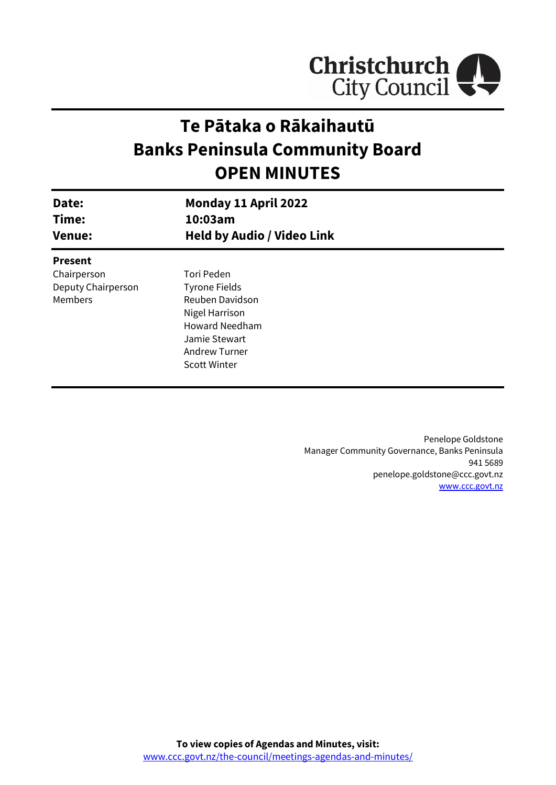

# **Te Pātaka o Rākaihautū Banks Peninsula Community Board OPEN MINUTES**

| Date:<br>Time:<br><b>Venue:</b> | Monday 11 April 2022<br>10:03am<br><b>Held by Audio / Video Link</b> |  |
|---------------------------------|----------------------------------------------------------------------|--|
| <b>Present</b>                  |                                                                      |  |
| Chairperson                     | Tori Peden                                                           |  |
| Deputy Chairperson              | <b>Tyrone Fields</b>                                                 |  |
| Members                         | Reuben Davidson                                                      |  |
|                                 | Nigel Harrison                                                       |  |
|                                 | <b>Howard Needham</b>                                                |  |
|                                 | Jamie Stewart                                                        |  |
|                                 | <b>Andrew Turner</b>                                                 |  |
|                                 | <b>Scott Winter</b>                                                  |  |
|                                 |                                                                      |  |

Penelope Goldstone Manager Community Governance, Banks Peninsula 941 5689 penelope.goldstone@ccc.govt.nz [www.ccc.govt.nz](http://www.ccc.govt.nz/)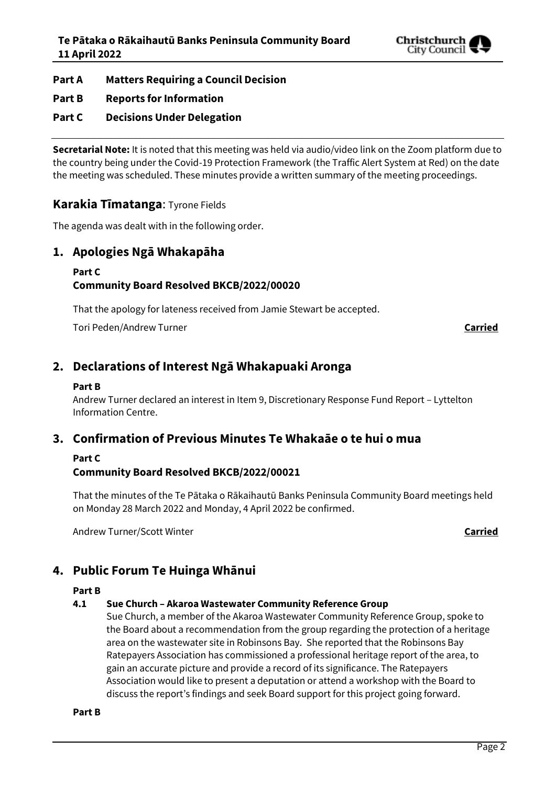

**Part A Matters Requiring a Council Decision**

#### **Part B Reports for Information**

## **Part C Decisions Under Delegation**

**Secretarial Note:** It is noted that this meeting was held via audio/video link on the Zoom platform due to the country being under the Covid-19 Protection Framework (the Traffic Alert System at Red) on the date the meeting was scheduled. These minutes provide a written summary of the meeting proceedings.

### **Karakia Tīmatanga**: Tyrone Fields

The agenda was dealt with in the following order.

### **1. Apologies Ngā Whakapāha**

#### **Part C**

### **Community Board Resolved BKCB/2022/00020**

That the apology for lateness received from Jamie Stewart be accepted.

Tori Peden/Andrew Turner **Carried**

# **2. Declarations of Interest Ngā Whakapuaki Aronga**

#### **Part B**

Andrew Turner declared an interest in Item 9, Discretionary Response Fund Report – Lyttelton Information Centre.

# **3. Confirmation of Previous Minutes Te Whakaāe o te hui o mua**

#### **Part C**

#### **Community Board Resolved BKCB/2022/00021**

That the minutes of the Te Pātaka o Rākaihautū Banks Peninsula Community Board meetings held on Monday 28 March 2022 and Monday, 4 April 2022 be confirmed.

Andrew Turner/Scott Winter **Carried**

# **4. Public Forum Te Huinga Whānui**

#### **Part B**

#### **4.1 Sue Church – Akaroa Wastewater Community Reference Group**

Sue Church, a member of the Akaroa Wastewater Community Reference Group, spoke to the Board about a recommendation from the group regarding the protection of a heritage area on the wastewater site in Robinsons Bay. She reported that the Robinsons Bay Ratepayers Association has commissioned a professional heritage report of the area, to gain an accurate picture and provide a record of its significance. The Ratepayers Association would like to present a deputation or attend a workshop with the Board to discuss the report's findings and seek Board support for this project going forward.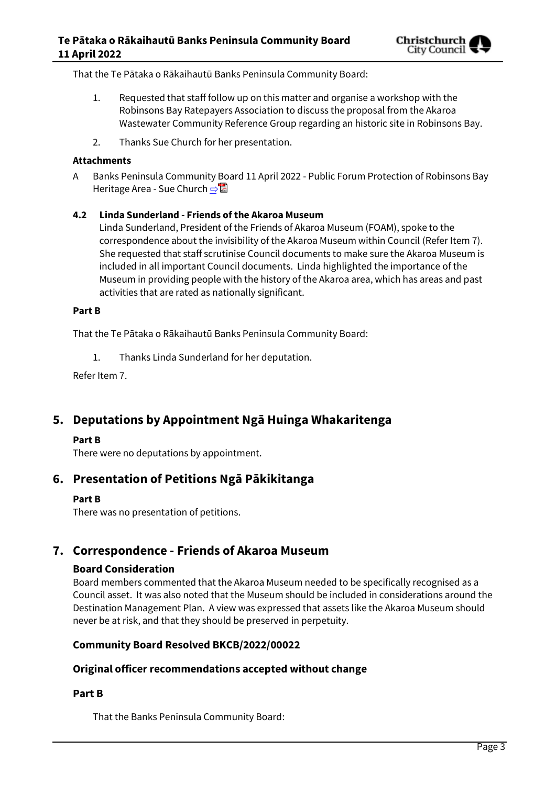That the Te Pātaka o Rākaihautū Banks Peninsula Community Board:

- 1. Requested that staff follow up on this matter and organise a workshop with the Robinsons Bay Ratepayers Association to discuss the proposal from the Akaroa Wastewater Community Reference Group regarding an historic site in Robinsons Bay.
- 2. Thanks Sue Church for her presentation.

#### **Attachments**

A Banks Peninsula Community Board 11 April 2022 - Public Forum Protection of Robinsons Bay Heritage Area - Sue Church [⇨](../../../RedirectToInvalidFileName.aspx?FileName=BKCB_20220411_MAT_7655.PDF#PAGE=2)

#### **4.2 Linda Sunderland - Friends of the Akaroa Museum**

Linda Sunderland, President of the Friends of Akaroa Museum (FOAM), spoke to the correspondence about the invisibility of the Akaroa Museum within Council (Refer Item 7). She requested that staff scrutinise Council documents to make sure the Akaroa Museum is included in all important Council documents. Linda highlighted the importance of the Museum in providing people with the history of the Akaroa area, which has areas and past activities that are rated as nationally significant.

#### **Part B**

That the Te Pātaka o Rākaihautū Banks Peninsula Community Board:

1. Thanks Linda Sunderland for her deputation.

Refer Item 7.

# **5. Deputations by Appointment Ngā Huinga Whakaritenga**

#### **Part B**

There were no deputations by appointment.

# **6. Presentation of Petitions Ngā Pākikitanga**

#### **Part B**

There was no presentation of petitions.

# **7. Correspondence - Friends of Akaroa Museum**

#### **Board Consideration**

Board members commented that the Akaroa Museum needed to be specifically recognised as a Council asset. It was also noted that the Museum should be included in considerations around the Destination Management Plan. A view was expressed that assets like the Akaroa Museum should never be at risk, and that they should be preserved in perpetuity.

#### **Community Board Resolved BKCB/2022/00022**

#### **Original officer recommendations accepted without change**

#### **Part B**

That the Banks Peninsula Community Board: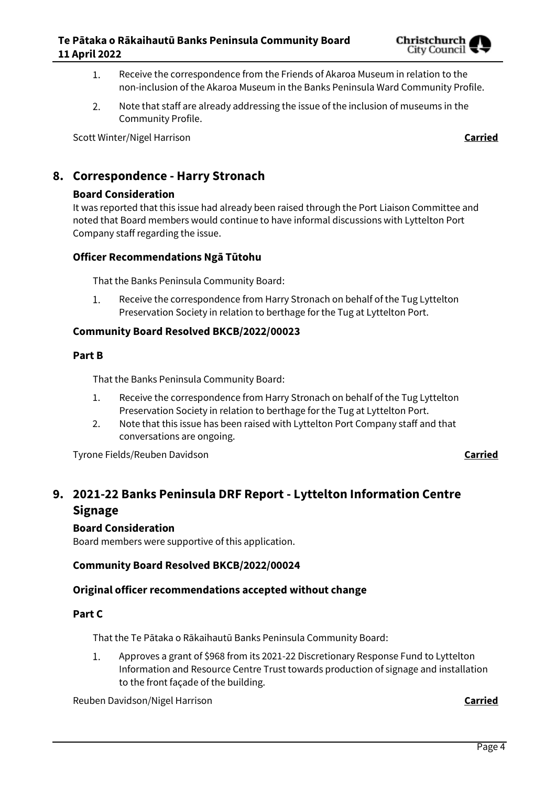

- Receive the correspondence from the Friends of Akaroa Museum in relation to the  $1.$ non-inclusion of the Akaroa Museum in the Banks Peninsula Ward Community Profile.
- $2.$ Note that staff are already addressing the issue of the inclusion of museums in the Community Profile.

Scott Winter/Nigel Harrison **Carried**

# **8. Correspondence - Harry Stronach**

#### **Board Consideration**

It was reported that this issue had already been raised through the Port Liaison Committee and noted that Board members would continue to have informal discussions with Lyttelton Port Company staff regarding the issue.

#### **Officer Recommendations Ngā Tūtohu**

That the Banks Peninsula Community Board:

 $1.$ Receive the correspondence from Harry Stronach on behalf of the Tug Lyttelton Preservation Society in relation to berthage for the Tug at Lyttelton Port.

#### **Community Board Resolved BKCB/2022/00023**

#### **Part B**

That the Banks Peninsula Community Board:

- 1. Receive the correspondence from Harry Stronach on behalf of the Tug Lyttelton Preservation Society in relation to berthage for the Tug at Lyttelton Port.
- 2. Note that this issue has been raised with Lyttelton Port Company staff and that conversations are ongoing.

Tyrone Fields/Reuben Davidson **Carried**

# **9. 2021-22 Banks Peninsula DRF Report - Lyttelton Information Centre Signage**

#### **Board Consideration**

Board members were supportive of this application.

#### **Community Board Resolved BKCB/2022/00024**

#### **Original officer recommendations accepted without change**

#### **Part C**

That the Te Pātaka o Rākaihautū Banks Peninsula Community Board:

 $1.$ Approves a grant of \$968 from its 2021-22 Discretionary Response Fund to Lyttelton Information and Resource Centre Trust towards production of signage and installation to the front façade of the building.

Reuben Davidson/Nigel Harrison **Carried**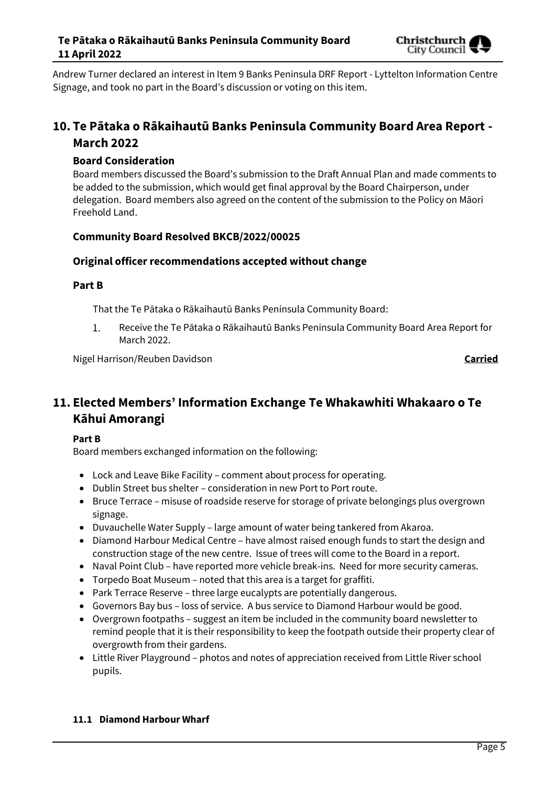

Andrew Turner declared an interest in Item 9 Banks Peninsula DRF Report - Lyttelton Information Centre Signage, and took no part in the Board's discussion or voting on this item.

# **10. Te Pātaka o Rākaihautū Banks Peninsula Community Board Area Report - March 2022**

#### **Board Consideration**

Board members discussed the Board's submission to the Draft Annual Plan and made comments to be added to the submission, which would get final approval by the Board Chairperson, under delegation. Board members also agreed on the content of the submission to the Policy on Māori Freehold Land.

#### **Community Board Resolved BKCB/2022/00025**

### **Original officer recommendations accepted without change**

#### **Part B**

That the Te Pātaka o Rākaihautū Banks Peninsula Community Board:

 $1.$ Receive the Te Pātaka o Rākaihautū Banks Peninsula Community Board Area Report for March 2022.

Nigel Harrison/Reuben Davidson **Carried**

# **11. Elected Members' Information Exchange Te Whakawhiti Whakaaro o Te Kāhui Amorangi**

#### **Part B**

Board members exchanged information on the following:

- Lock and Leave Bike Facility comment about process for operating.
- Dublin Street bus shelter consideration in new Port to Port route.
- Bruce Terrace misuse of roadside reserve for storage of private belongings plus overgrown signage.
- Duvauchelle Water Supply large amount of water being tankered from Akaroa.
- Diamond Harbour Medical Centre have almost raised enough funds to start the design and construction stage of the new centre. Issue of trees will come to the Board in a report.
- Naval Point Club have reported more vehicle break-ins. Need for more security cameras.
- Torpedo Boat Museum noted that this area is a target for graffiti.
- Park Terrace Reserve three large eucalypts are potentially dangerous.
- Governors Bay bus loss of service. A bus service to Diamond Harbour would be good.
- Overgrown footpaths suggest an item be included in the community board newsletter to remind people that it is their responsibility to keep the footpath outside their property clear of overgrowth from their gardens.
- Little River Playground photos and notes of appreciation received from Little River school pupils.

#### **11.1 Diamond Harbour Wharf**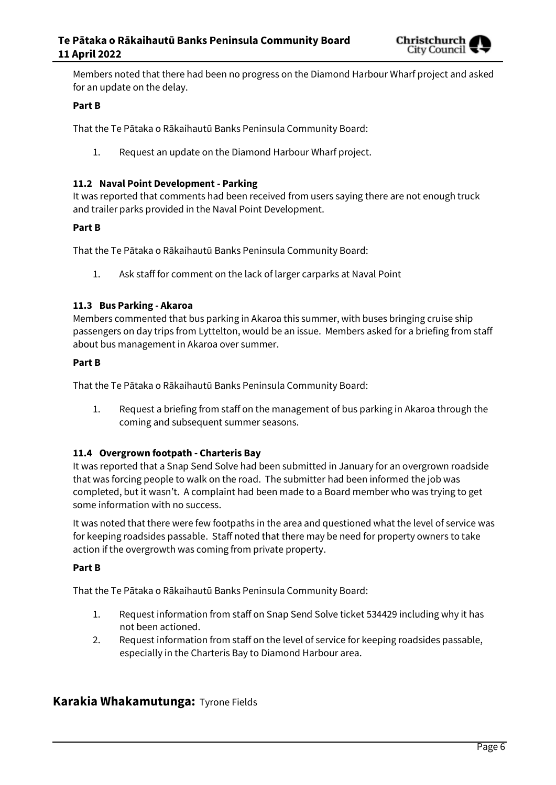

Members noted that there had been no progress on the Diamond Harbour Wharf project and asked for an update on the delay.

#### **Part B**

That the Te Pātaka o Rākaihautū Banks Peninsula Community Board:

1. Request an update on the Diamond Harbour Wharf project.

#### **11.2 Naval Point Development - Parking**

It was reported that comments had been received from users saying there are not enough truck and trailer parks provided in the Naval Point Development.

#### **Part B**

That the Te Pātaka o Rākaihautū Banks Peninsula Community Board:

1. Ask staff for comment on the lack of larger carparks at Naval Point

#### **11.3 Bus Parking - Akaroa**

Members commented that bus parking in Akaroa this summer, with buses bringing cruise ship passengers on day trips from Lyttelton, would be an issue. Members asked for a briefing from staff about bus management in Akaroa over summer.

#### **Part B**

That the Te Pātaka o Rākaihautū Banks Peninsula Community Board:

1. Request a briefing from staff on the management of bus parking in Akaroa through the coming and subsequent summer seasons.

#### **11.4 Overgrown footpath - Charteris Bay**

It was reported that a Snap Send Solve had been submitted in January for an overgrown roadside that was forcing people to walk on the road. The submitter had been informed the job was completed, but it wasn't. A complaint had been made to a Board member who was trying to get some information with no success.

It was noted that there were few footpaths in the area and questioned what the level of service was for keeping roadsides passable. Staff noted that there may be need for property owners to take action if the overgrowth was coming from private property.

#### **Part B**

That the Te Pātaka o Rākaihautū Banks Peninsula Community Board:

- 1. Request information from staff on Snap Send Solve ticket 534429 including why it has not been actioned.
- 2. Request information from staff on the level of service for keeping roadsides passable, especially in the Charteris Bay to Diamond Harbour area.

#### **Karakia Whakamutunga:** Tyrone Fields